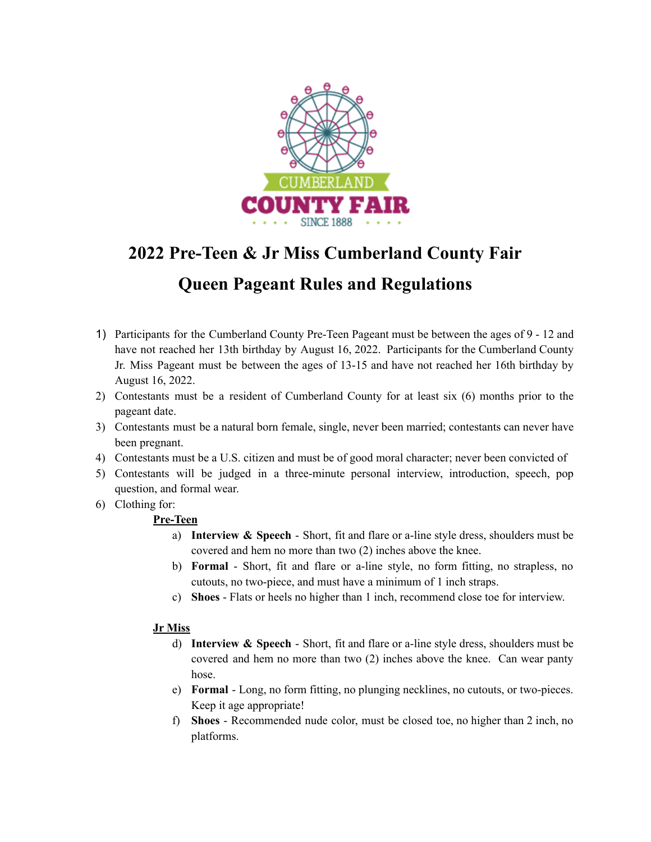

# **2022 Pre-Teen & Jr Miss Cumberland County Fair**

# **Queen Pageant Rules and Regulations**

- 1) Participants for the Cumberland County Pre-Teen Pageant must be between the ages of 9 12 and have not reached her 13th birthday by August 16, 2022. Participants for the Cumberland County Jr. Miss Pageant must be between the ages of 13-15 and have not reached her 16th birthday by August 16, 2022.
- 2) Contestants must be a resident of Cumberland County for at least six (6) months prior to the pageant date.
- 3) Contestants must be a natural born female, single, never been married; contestants can never have been pregnant.
- 4) Contestants must be a U.S. citizen and must be of good moral character; never been convicted of
- 5) Contestants will be judged in a three-minute personal interview, introduction, speech, pop question, and formal wear.
- 6) Clothing for:

## **Pre-Teen**

- a) **Interview & Speech** Short, fit and flare or a-line style dress, shoulders must be covered and hem no more than two (2) inches above the knee.
- b) **Formal** Short, fit and flare or a-line style, no form fitting, no strapless, no cutouts, no two-piece, and must have a minimum of 1 inch straps.
- c) **Shoes** Flats or heels no higher than 1 inch, recommend close toe for interview.

#### **Jr Miss**

- d) **Interview & Speech** Short, fit and flare or a-line style dress, shoulders must be covered and hem no more than two (2) inches above the knee. Can wear panty hose.
- e) **Formal** Long, no form fitting, no plunging necklines, no cutouts, or two-pieces. Keep it age appropriate!
- f) **Shoes** Recommended nude color, must be closed toe, no higher than 2 inch, no platforms.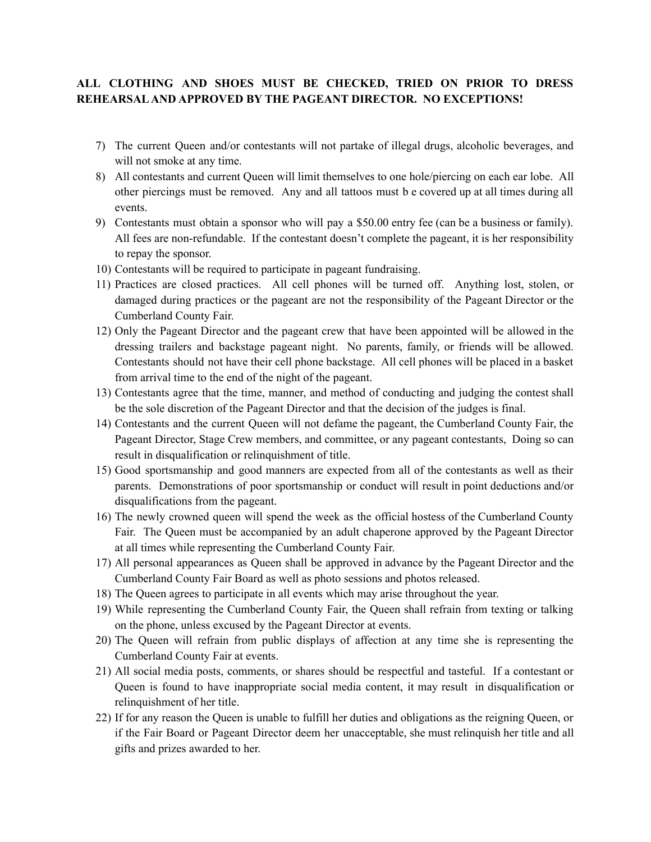### **ALL CLOTHING AND SHOES MUST BE CHECKED, TRIED ON PRIOR TO DRESS REHEARSALAND APPROVED BY THE PAGEANT DIRECTOR. NO EXCEPTIONS!**

- 7) The current Queen and/or contestants will not partake of illegal drugs, alcoholic beverages, and will not smoke at any time.
- 8) All contestants and current Queen will limit themselves to one hole/piercing on each ear lobe. All other piercings must be removed. Any and all tattoos must b e covered up at all times during all events.
- 9) Contestants must obtain a sponsor who will pay a \$50.00 entry fee (can be a business or family). All fees are non-refundable. If the contestant doesn't complete the pageant, it is her responsibility to repay the sponsor.
- 10) Contestants will be required to participate in pageant fundraising.
- 11) Practices are closed practices. All cell phones will be turned off. Anything lost, stolen, or damaged during practices or the pageant are not the responsibility of the Pageant Director or the Cumberland County Fair.
- 12) Only the Pageant Director and the pageant crew that have been appointed will be allowed in the dressing trailers and backstage pageant night. No parents, family, or friends will be allowed. Contestants should not have their cell phone backstage. All cell phones will be placed in a basket from arrival time to the end of the night of the pageant.
- 13) Contestants agree that the time, manner, and method of conducting and judging the contest shall be the sole discretion of the Pageant Director and that the decision of the judges is final.
- 14) Contestants and the current Queen will not defame the pageant, the Cumberland County Fair, the Pageant Director, Stage Crew members, and committee, or any pageant contestants, Doing so can result in disqualification or relinquishment of title.
- 15) Good sportsmanship and good manners are expected from all of the contestants as well as their parents. Demonstrations of poor sportsmanship or conduct will result in point deductions and/or disqualifications from the pageant.
- 16) The newly crowned queen will spend the week as the official hostess of the Cumberland County Fair. The Queen must be accompanied by an adult chaperone approved by the Pageant Director at all times while representing the Cumberland County Fair.
- 17) All personal appearances as Queen shall be approved in advance by the Pageant Director and the Cumberland County Fair Board as well as photo sessions and photos released.
- 18) The Queen agrees to participate in all events which may arise throughout the year.
- 19) While representing the Cumberland County Fair, the Queen shall refrain from texting or talking on the phone, unless excused by the Pageant Director at events.
- 20) The Queen will refrain from public displays of affection at any time she is representing the Cumberland County Fair at events.
- 21) All social media posts, comments, or shares should be respectful and tasteful. If a contestant or Queen is found to have inappropriate social media content, it may result in disqualification or relinquishment of her title.
- 22) If for any reason the Queen is unable to fulfill her duties and obligations as the reigning Queen, or if the Fair Board or Pageant Director deem her unacceptable, she must relinquish her title and all gifts and prizes awarded to her.